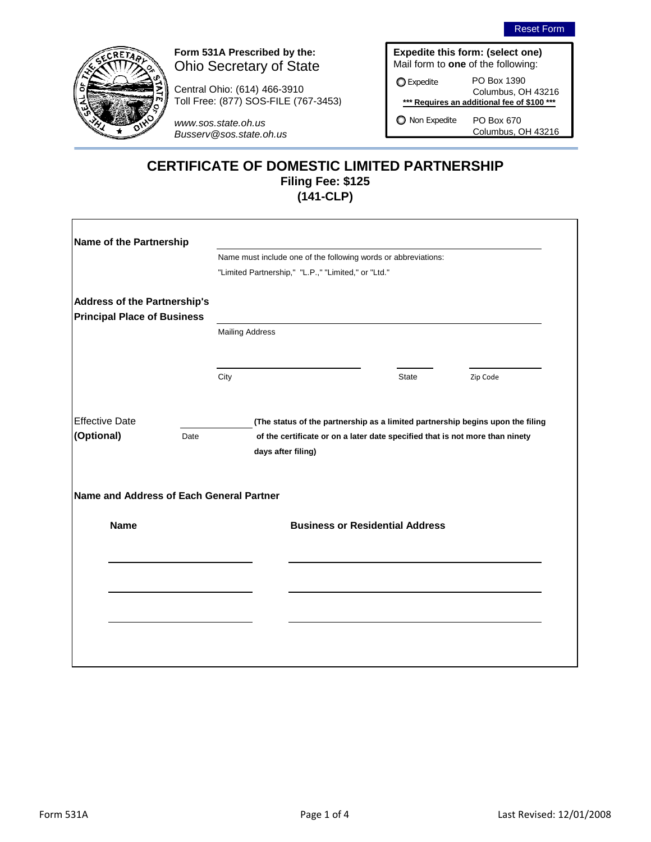



# **Form 531A Prescribed by the:**  Ohio Secretary of State

Central Ohio: (614) 466-3910 Toll Free: (877) SOS-FILE (767-3453)

*www.sos.state.oh.us Busserv@sos.state.oh.us*

|  | Expedite this form: (select one)          |
|--|-------------------------------------------|
|  | Mail form to <b>one</b> of the following: |

**O** Expedite

PO Box 1390 Columbus, OH 43216 **\*\*\* Requires an additional fee of \$100 \*\*\***

O Non Expedite

PO Box 670 Columbus, OH 43216

# **(141-CLP) CERTIFICATE OF DOMESTIC LIMITED PARTNERSHIP Filing Fee: \$125**

| Name of the Partnership                  |      |                        |                                                                                                                                                                |              |          |
|------------------------------------------|------|------------------------|----------------------------------------------------------------------------------------------------------------------------------------------------------------|--------------|----------|
|                                          |      |                        | Name must include one of the following words or abbreviations:                                                                                                 |              |          |
|                                          |      |                        | "Limited Partnership," "L.P.," "Limited," or "Ltd."                                                                                                            |              |          |
| <b>Address of the Partnership's</b>      |      |                        |                                                                                                                                                                |              |          |
| <b>Principal Place of Business</b>       |      |                        |                                                                                                                                                                |              |          |
|                                          |      | <b>Mailing Address</b> |                                                                                                                                                                |              |          |
|                                          |      | City                   |                                                                                                                                                                | <b>State</b> | Zip Code |
| <b>Effective Date</b><br>(Optional)      | Date | days after filing)     | (The status of the partnership as a limited partnership begins upon the filing<br>of the certificate or on a later date specified that is not more than ninety |              |          |
| Name and Address of Each General Partner |      |                        |                                                                                                                                                                |              |          |
| <b>Name</b>                              |      |                        |                                                                                                                                                                |              |          |
|                                          |      |                        | <b>Business or Residential Address</b>                                                                                                                         |              |          |
|                                          |      |                        |                                                                                                                                                                |              |          |
|                                          |      |                        |                                                                                                                                                                |              |          |
|                                          |      |                        |                                                                                                                                                                |              |          |
|                                          |      |                        |                                                                                                                                                                |              |          |
|                                          |      |                        |                                                                                                                                                                |              |          |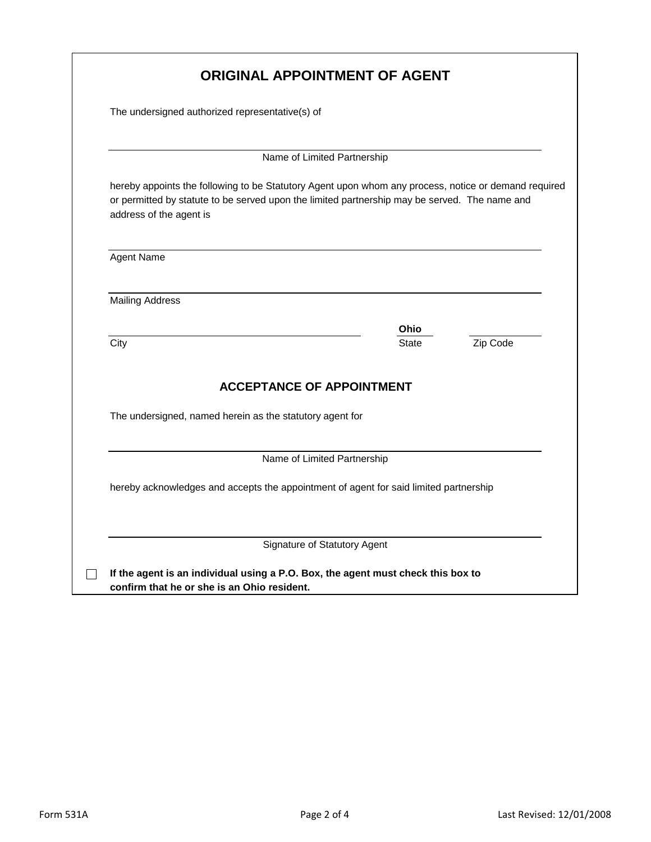| The undersigned authorized representative(s) of                                                                                                                                                       |                                  |                      |          |
|-------------------------------------------------------------------------------------------------------------------------------------------------------------------------------------------------------|----------------------------------|----------------------|----------|
|                                                                                                                                                                                                       |                                  |                      |          |
|                                                                                                                                                                                                       | Name of Limited Partnership      |                      |          |
|                                                                                                                                                                                                       |                                  |                      |          |
| hereby appoints the following to be Statutory Agent upon whom any process, notice or demand required<br>or permitted by statute to be served upon the limited partnership may be served. The name and |                                  |                      |          |
| address of the agent is                                                                                                                                                                               |                                  |                      |          |
|                                                                                                                                                                                                       |                                  |                      |          |
| <b>Agent Name</b>                                                                                                                                                                                     |                                  |                      |          |
|                                                                                                                                                                                                       |                                  |                      |          |
| <b>Mailing Address</b>                                                                                                                                                                                |                                  |                      |          |
|                                                                                                                                                                                                       |                                  |                      |          |
| City                                                                                                                                                                                                  |                                  | Ohio<br><b>State</b> | Zip Code |
|                                                                                                                                                                                                       |                                  |                      |          |
|                                                                                                                                                                                                       | <b>ACCEPTANCE OF APPOINTMENT</b> |                      |          |
|                                                                                                                                                                                                       |                                  |                      |          |
| The undersigned, named herein as the statutory agent for                                                                                                                                              |                                  |                      |          |
|                                                                                                                                                                                                       |                                  |                      |          |
|                                                                                                                                                                                                       | Name of Limited Partnership      |                      |          |
|                                                                                                                                                                                                       |                                  |                      |          |
| hereby acknowledges and accepts the appointment of agent for said limited partnership                                                                                                                 |                                  |                      |          |
|                                                                                                                                                                                                       |                                  |                      |          |
|                                                                                                                                                                                                       |                                  |                      |          |
|                                                                                                                                                                                                       | Signature of Statutory Agent     |                      |          |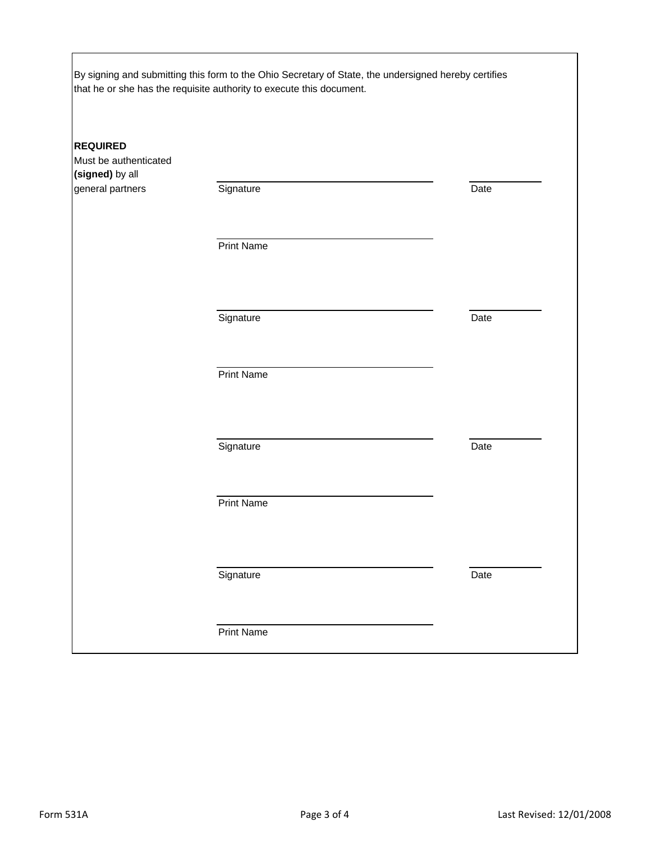|                                                                                 | By signing and submitting this form to the Ohio Secretary of State, the undersigned hereby certifies<br>that he or she has the requisite authority to execute this document. |      |
|---------------------------------------------------------------------------------|------------------------------------------------------------------------------------------------------------------------------------------------------------------------------|------|
| <b>REQUIRED</b><br>Must be authenticated<br>(signed) by all<br>general partners | Signature                                                                                                                                                                    | Date |
|                                                                                 | <b>Print Name</b>                                                                                                                                                            |      |
|                                                                                 | Signature                                                                                                                                                                    | Date |
|                                                                                 | <b>Print Name</b>                                                                                                                                                            |      |
|                                                                                 | Signature                                                                                                                                                                    | Date |
|                                                                                 | <b>Print Name</b>                                                                                                                                                            |      |
|                                                                                 | Signature                                                                                                                                                                    | Date |
|                                                                                 | <b>Print Name</b>                                                                                                                                                            |      |